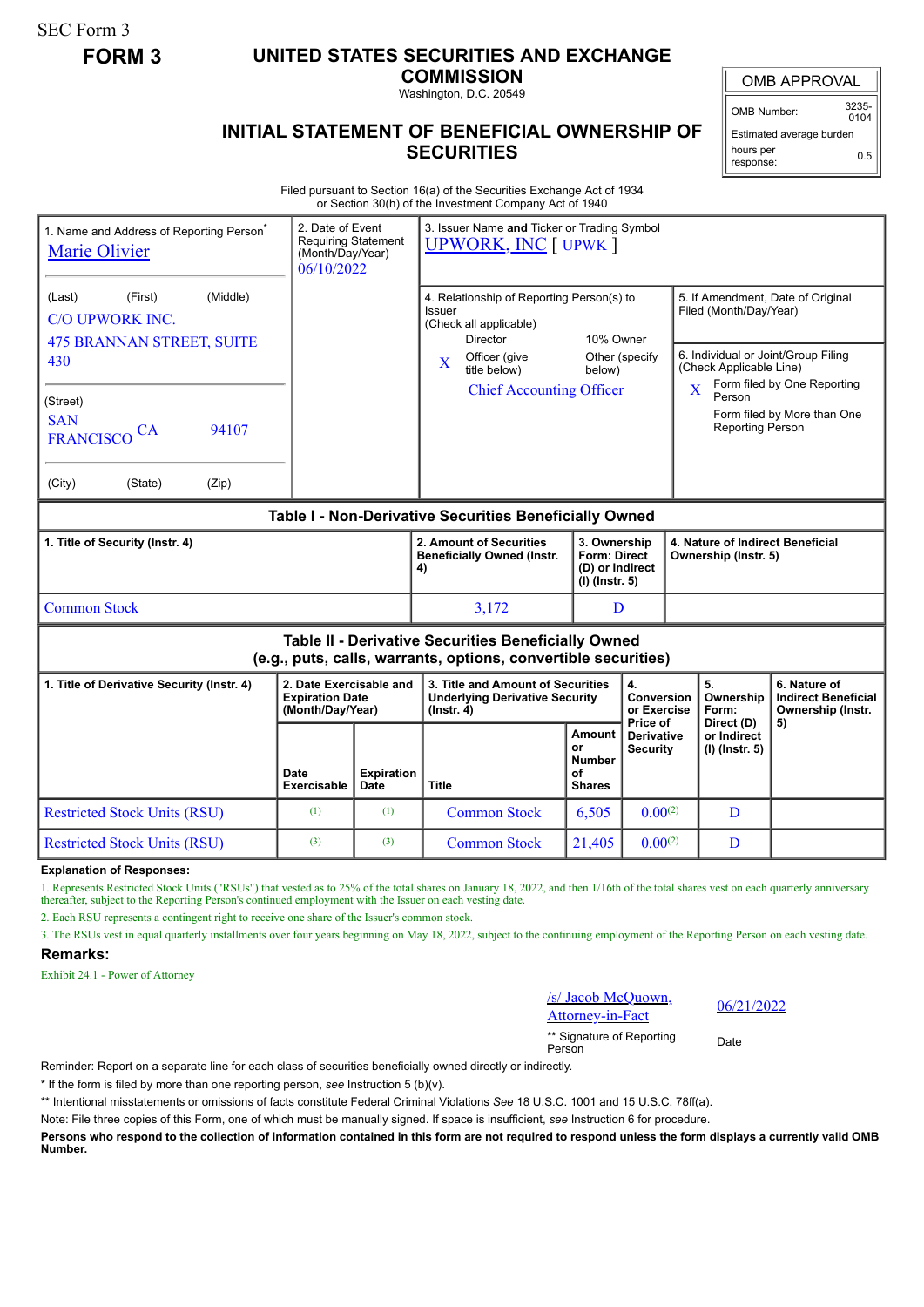SEC Form 3

## **FORM 3 UNITED STATES SECURITIES AND EXCHANGE**

**COMMISSION** Washington, D.C. 20549

OMB APPROVAL

OMB Number: 3235-  $0104$ 

0.5

Estimated average burden hours per

response:

## **INITIAL STATEMENT OF BENEFICIAL OWNERSHIP OF SECURITIES**

Filed pursuant to Section 16(a) of the Securities Exchange Act of 1934 or Section 30(h) of the Investment Company Act of 1940

| 1. Name and Address of Reporting Person <sup>®</sup><br><b>Marie Olivier</b>                                          | 3. Issuer Name and Ticker or Trading Symbol<br>2. Date of Event<br><b>Requiring Statement</b><br><b>UPWORK, INC [ UPWK ]</b><br>(Month/Day/Year)<br>06/10/2022 |                           |                                                                                                                               |                                                                     |                                                  |                                                                                                                                                       |                                             |                                                                 |
|-----------------------------------------------------------------------------------------------------------------------|----------------------------------------------------------------------------------------------------------------------------------------------------------------|---------------------------|-------------------------------------------------------------------------------------------------------------------------------|---------------------------------------------------------------------|--------------------------------------------------|-------------------------------------------------------------------------------------------------------------------------------------------------------|---------------------------------------------|-----------------------------------------------------------------|
| (Middle)<br>(First)<br>(Last)<br><b>C/O UPWORK INC.</b><br><b>475 BRANNAN STREET, SUITE</b><br>430                    |                                                                                                                                                                |                           | 4. Relationship of Reporting Person(s) to<br>Issuer<br>(Check all applicable)<br><b>Director</b><br>Officer (give<br>$\bf{X}$ | 10% Owner<br>Other (specify<br>below)                               |                                                  | 5. If Amendment, Date of Original<br>Filed (Month/Day/Year)<br>6. Individual or Joint/Group Filing                                                    |                                             |                                                                 |
| (Street)<br><b>SAN</b><br>94107<br><b>CA</b><br><b>FRANCISCO</b>                                                      |                                                                                                                                                                |                           | title below)<br><b>Chief Accounting Officer</b>                                                                               |                                                                     |                                                  | (Check Applicable Line)<br>Form filed by One Reporting<br>$\overline{\mathbf{X}}$<br>Person<br>Form filed by More than One<br><b>Reporting Person</b> |                                             |                                                                 |
| (City)<br>(State)<br>(Zip)                                                                                            |                                                                                                                                                                |                           |                                                                                                                               |                                                                     |                                                  |                                                                                                                                                       |                                             |                                                                 |
| Table I - Non-Derivative Securities Beneficially Owned                                                                |                                                                                                                                                                |                           |                                                                                                                               |                                                                     |                                                  |                                                                                                                                                       |                                             |                                                                 |
| 1. Title of Security (Instr. 4)                                                                                       |                                                                                                                                                                |                           | 2. Amount of Securities<br><b>Beneficially Owned (Instr.</b><br>4)                                                            | 3. Ownership<br>Form: Direct<br>(D) or Indirect<br>$(I)$ (lnstr. 5) |                                                  | 4. Nature of Indirect Beneficial<br>Ownership (Instr. 5)                                                                                              |                                             |                                                                 |
| <b>Common Stock</b>                                                                                                   |                                                                                                                                                                |                           | 3,172                                                                                                                         | D                                                                   |                                                  |                                                                                                                                                       |                                             |                                                                 |
| Table II - Derivative Securities Beneficially Owned<br>(e.g., puts, calls, warrants, options, convertible securities) |                                                                                                                                                                |                           |                                                                                                                               |                                                                     |                                                  |                                                                                                                                                       |                                             |                                                                 |
| 1. Title of Derivative Security (Instr. 4)                                                                            | 2. Date Exercisable and<br><b>Expiration Date</b><br>(Month/Day/Year)                                                                                          |                           | 3. Title and Amount of Securities<br><b>Underlying Derivative Security</b><br>$($ lnstr. 4 $)$                                | 4.<br>Conversion<br>or Exercise                                     |                                                  |                                                                                                                                                       | 5.<br>Ownership<br>Form:                    | 6. Nature of<br><b>Indirect Beneficial</b><br>Ownership (Instr. |
|                                                                                                                       | Date<br><b>Exercisable</b>                                                                                                                                     | <b>Expiration</b><br>Date | <b>Title</b>                                                                                                                  | Amount<br>or<br><b>Number</b><br>of<br><b>Shares</b>                | Price of<br><b>Derivative</b><br><b>Security</b> |                                                                                                                                                       | Direct (D)<br>or Indirect<br>(I) (Instr. 5) | 5)                                                              |
| <b>Restricted Stock Units (RSU)</b>                                                                                   | (1)                                                                                                                                                            | (1)                       | <b>Common Stock</b>                                                                                                           | 6,505                                                               | $0.00^{(2)}$                                     |                                                                                                                                                       | D                                           |                                                                 |
| <b>Restricted Stock Units (RSU)</b>                                                                                   | (3)                                                                                                                                                            | (3)                       | <b>Common Stock</b>                                                                                                           | 21,405                                                              | $0.00^{(2)}$                                     |                                                                                                                                                       | D                                           |                                                                 |

**Explanation of Responses:**

1. Represents Restricted Stock Units ("RSUs") that vested as to 25% of the total shares on January 18, 2022, and then 1/16th of the total shares vest on each quarterly anniversary thereafter, subject to the Reporting Person's continued employment with the Issuer on each vesting date.

2. Each RSU represents a contingent right to receive one share of the Issuer's common stock.

3. The RSUs vest in equal quarterly installments over four years beginning on May 18, 2022, subject to the continuing employment of the Reporting Person on each vesting date. **Remarks:**

Exhibit 24.1 - Power of Attorney

/s/ Jacob McQuown,  $\frac{66}{21/2022}$  Attorney-in-Fact

\*\* Signature of Reporting Person Date

Reminder: Report on a separate line for each class of securities beneficially owned directly or indirectly.

\* If the form is filed by more than one reporting person, *see* Instruction 5 (b)(v).

\*\* Intentional misstatements or omissions of facts constitute Federal Criminal Violations *See* 18 U.S.C. 1001 and 15 U.S.C. 78ff(a).

Note: File three copies of this Form, one of which must be manually signed. If space is insufficient, *see* Instruction 6 for procedure.

**Persons who respond to the collection of information contained in this form are not required to respond unless the form displays a currently valid OMB Number.**